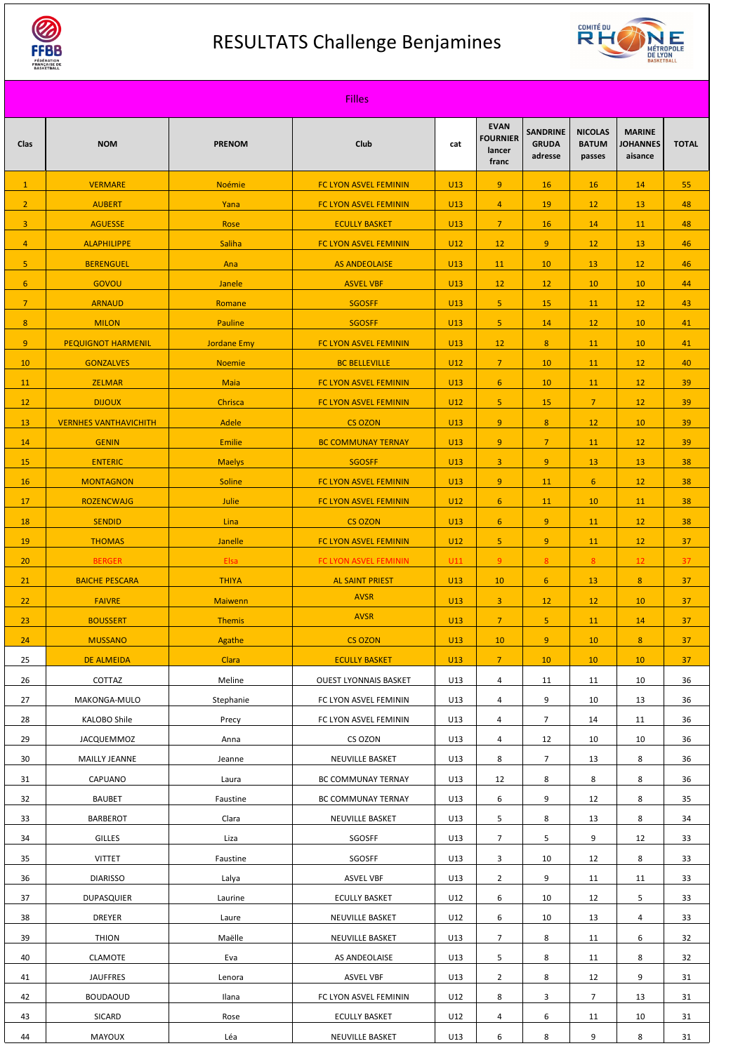

## RESULTATS Challenge Benjamines



| <b>Filles</b>   |                              |                    |                              |                 |                                                   |                                            |                                          |                                             |              |
|-----------------|------------------------------|--------------------|------------------------------|-----------------|---------------------------------------------------|--------------------------------------------|------------------------------------------|---------------------------------------------|--------------|
| <b>Clas</b>     | <b>NOM</b>                   | <b>PRENOM</b>      | <b>Club</b>                  | cat             | <b>EVAN</b><br><b>FOURNIER</b><br>lancer<br>franc | <b>SANDRINE</b><br><b>GRUDA</b><br>adresse | <b>NICOLAS</b><br><b>BATUM</b><br>passes | <b>MARINE</b><br><b>JOHANNES</b><br>aisance | <b>TOTAL</b> |
| $\vert 1 \vert$ | <b>VERMARE</b>               | <b>Noémie</b>      | <b>FC LYON ASVEL FEMININ</b> | <b>U13</b>      | 9 <sub>o</sub>                                    | 16                                         | 16                                       | 14                                          | 55           |
| 2 <sup>7</sup>  | <b>AUBERT</b>                | Yana               | FC LYON ASVEL FEMININ        | <b>U13</b>      | $\overline{4}$                                    | 19                                         | 12                                       | 13                                          | 48           |
| 3 <sup>1</sup>  | <b>AGUESSE</b>               | Rose               | <b>ECULLY BASKET</b>         | <b>U13</b>      | 7 <sup>1</sup>                                    | 16                                         | 14                                       | 11                                          | 48           |
| $\overline{4}$  | <b>ALAPHILIPPE</b>           | <b>Saliha</b>      | FC LYON ASVEL FEMININ        | U12             | 12                                                | 9 <sup>°</sup>                             | 12                                       | 13                                          | 46           |
| 5 <sub>1</sub>  | <b>BERENGUEL</b>             | Ana                | <b>AS ANDEOLAISE</b>         | U13             | 11                                                | 10                                         | 13                                       | 12                                          | 46           |
| $6\overline{6}$ | GOVOU                        | Janele             | <b>ASVEL VBF</b>             | <b>U13</b>      | 12                                                | 12                                         | 10                                       | 10                                          | 44           |
| 7 <sup>7</sup>  | <b>ARNAUD</b>                | Romane             | <b>SGOSFF</b>                | <b>U13</b>      | 5 <sub>1</sub>                                    | 15                                         | 11                                       | 12                                          | 43           |
| 8               | <b>MILON</b>                 | <b>Pauline</b>     | <b>SGOSFF</b>                | U13             | 5 <sub>1</sub>                                    | 14                                         | 12                                       | 10                                          | 41           |
| 9               | <b>PEQUIGNOT HARMENIL</b>    | <b>Jordane Emy</b> | <b>FC LYON ASVEL FEMININ</b> | U13             | 12                                                | 8                                          | 11                                       | 10                                          | 41           |
| 10              | <b>GONZALVES</b>             | <b>Noemie</b>      | <b>BC BELLEVILLE</b>         | U12             | $\overline{7}$                                    | 10                                         | 11                                       | 12                                          | 40           |
| 11              | <b>ZELMAR</b>                | <b>Maia</b>        | <b>FC LYON ASVEL FEMININ</b> | U13             | 6 <sup>1</sup>                                    | 10                                         | 11                                       | 12                                          | 39           |
| 12              | <b>DIJOUX</b>                | Chrisca            | <b>FC LYON ASVEL FEMININ</b> | <b>U12</b>      | 5 <sub>1</sub>                                    | 15                                         | 7 <sup>1</sup>                           | 12                                          | 39           |
| 13              | <b>VERNHES VANTHAVICHITH</b> | Adele              | <b>CS OZON</b>               | U13             | 9 <sup>°</sup>                                    | 8                                          | 12                                       | 10                                          | 39           |
| 14              | <b>GENIN</b>                 | <b>Emilie</b>      | <b>BC COMMUNAY TERNAY</b>    | U13             | 9 <sup>°</sup>                                    | $\overline{7}$                             | 11                                       | 12                                          | 39           |
| 15              | <b>ENTERIC</b>               | <b>Maelys</b>      | <b>SGOSFF</b>                | U13             | $\overline{3}$                                    | 9 <sup>°</sup>                             | 13                                       | 13                                          | 38           |
| 16              | <b>MONTAGNON</b>             | <b>Soline</b>      | FC LYON ASVEL FEMININ        | U13             | 9                                                 | 11                                         | 6 <sup>1</sup>                           | 12                                          | 38           |
| 17              | <b>ROZENCWAJG</b>            | Julie              | FC LYON ASVEL FEMININ        | U12             | 6 <sup>1</sup>                                    | 11                                         | 10                                       | 11                                          | 38           |
| 18              | <b>SENDID</b>                | Lina               | <b>CS OZON</b>               | U13             | 6 <sup>1</sup>                                    | 9 <sup>°</sup>                             | 11                                       | 12                                          | 38           |
| 19              | <b>THOMAS</b>                | Janelle            | FC LYON ASVEL FEMININ        | U12             | $\overline{5}$                                    | 9 <sup>°</sup>                             | 11                                       | 12                                          | 37           |
| 20              | <b>BERGER</b>                | Elsa               | FC LYON ASVEL FEMININ        | U11             | 9 <sup>°</sup>                                    | 8                                          | 8                                        | 12 <sup>°</sup>                             | 37           |
| 21              | <b>BAICHE PESCARA</b>        | <b>THIYA</b>       | <b>AL SAINT PRIEST</b>       | U13             | 10                                                | $6\phantom{1}$                             | 13                                       | 8                                           | 37           |
| 22              | <b>FAIVRE</b>                | Maiwenn            | <b>AVSR</b>                  | U13             | $\overline{3}$                                    | 12                                         | 12                                       | 10                                          | 37           |
| 23              | <b>BOUSSERT</b>              | <b>Themis</b>      | <b>AVSR</b>                  | <b>U13</b>      | $\overline{7}$                                    | $\overline{5}$                             | 11                                       | 14                                          | 37           |
| 24              | <b>MUSSANO</b>               | Agathe             | <b>CS OZON</b>               | U <sub>13</sub> | 10                                                | 9 <sup>°</sup>                             | 10                                       | 8                                           | 37           |
| 25              | <b>DE ALMEIDA</b>            | Clara              | <b>ECULLY BASKET</b>         | <b>U13</b>      | 7 <sup>1</sup>                                    | 10                                         | 10                                       | 10                                          | 37           |
| 26              | COTTAZ                       | Meline             | <b>OUEST LYONNAIS BASKET</b> | U13             | 4                                                 | 11                                         | 11                                       | 10                                          | 36           |
| 27              | MAKONGA-MULO                 | Stephanie          | FC LYON ASVEL FEMININ        | U13             | 4                                                 | 9                                          | 10                                       | 13                                          | 36           |
| 28              | <b>KALOBO Shile</b>          | Precy              | FC LYON ASVEL FEMININ        | U13             | 4                                                 | $\overline{7}$                             | 14                                       | 11                                          | 36           |
| 29              | JACQUEMMOZ                   | Anna               | CS OZON                      | U13             | 4                                                 | 12                                         | 10                                       | 10                                          | 36           |
| 30 <sup>°</sup> | <b>MAILLY JEANNE</b>         | Jeanne             | NEUVILLE BASKET              | U13             | 8                                                 | $\overline{7}$                             | 13                                       | 8                                           | 36           |
| 31              | CAPUANO                      | Laura              | BC COMMUNAY TERNAY           | U13             | 12                                                | 8                                          | 8                                        | 8                                           | 36           |
| 32              | <b>BAUBET</b>                | Faustine           | BC COMMUNAY TERNAY           | U13             | 6                                                 | 9                                          | 12                                       | 8                                           | 35           |
| 33              | <b>BARBEROT</b>              | Clara              | NEUVILLE BASKET              | U13             | 5                                                 | 8                                          | 13                                       | 8                                           | 34           |
| 34              | <b>GILLES</b>                | Liza               | SGOSFF                       | U13             | $\overline{7}$                                    | 5                                          | 9                                        | 12                                          | 33           |
| 35              | <b>VITTET</b>                | Faustine           | SGOSFF                       | U13             | $\mathbf{3}$                                      | 10                                         | 12                                       | 8                                           | 33           |
| 36              | <b>DIARISSO</b>              | Lalya              | <b>ASVEL VBF</b>             | U13             | $\overline{2}$                                    | 9                                          | 11                                       | 11                                          | 33           |
| 37              | <b>DUPASQUIER</b>            | Laurine            | <b>ECULLY BASKET</b>         | U12             | 6                                                 | 10                                         | 12                                       | 5                                           | 33           |
| 38              | <b>DREYER</b>                | Laure              | NEUVILLE BASKET              | U12             | 6                                                 | 10                                         | 13                                       | 4                                           | 33           |
| 39              | <b>THION</b>                 | Maëlle             | NEUVILLE BASKET              | U13             | 7 <sup>1</sup>                                    | 8                                          | 11                                       | 6                                           | 32           |
| 40              | <b>CLAMOTE</b>               | Eva                | AS ANDEOLAISE                | U13             | 5                                                 | 8                                          | 11                                       | 8                                           | 32           |
| 41              | <b>JAUFFRES</b>              | Lenora             | <b>ASVEL VBF</b>             | U13             | $\overline{2}$                                    | 8                                          | 12                                       | 9                                           | 31           |
| 42              | <b>BOUDAOUD</b>              | Ilana              | FC LYON ASVEL FEMININ        | U12             | 8                                                 | 3                                          | $\overline{7}$                           | 13                                          | 31           |
| 43              | <b>SICARD</b>                | Rose               | <b>ECULLY BASKET</b>         | U12             | 4                                                 | 6                                          | 11                                       | 10                                          | 31           |
| 44              | MAYOUX                       | Léa                | NEUVILLE BASKET              | U13             | 6                                                 | 8                                          | 9                                        | 8                                           | 31           |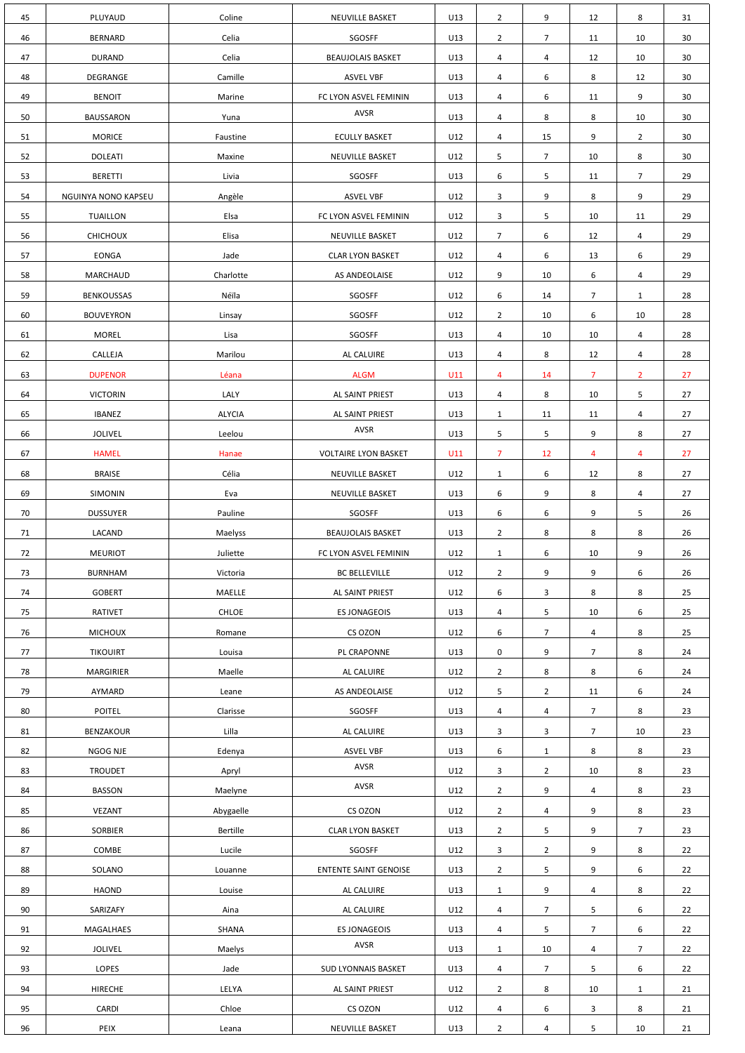| 45 | PLUYAUD             | Coline        | <b>NEUVILLE BASKET</b>       | U13 | $\overline{2}$   | 9              | 12              | 8              | 31              |
|----|---------------------|---------------|------------------------------|-----|------------------|----------------|-----------------|----------------|-----------------|
| 46 | <b>BERNARD</b>      | Celia         | SGOSFF                       | U13 | $\overline{2}$   | $\overline{7}$ | 11              | 10             | 30 <sup>°</sup> |
| 47 | <b>DURAND</b>       | Celia         | <b>BEAUJOLAIS BASKET</b>     | U13 | $\overline{4}$   | $\overline{4}$ | 12              | 10             | 30 <sup>°</sup> |
| 48 | DEGRANGE            | Camille       | <b>ASVEL VBF</b>             | U13 | 4                | 6              | 8               | 12             | 30 <sup>°</sup> |
| 49 | <b>BENOIT</b>       | Marine        | FC LYON ASVEL FEMININ        | U13 | 4                | 6              | 11              | 9              | 30              |
| 50 | <b>BAUSSARON</b>    | Yuna          | <b>AVSR</b>                  | U13 | 4                | 8              | 8               | 10             | 30 <sup>°</sup> |
| 51 | <b>MORICE</b>       | Faustine      | <b>ECULLY BASKET</b>         | U12 | $\overline{4}$   | 15             | 9               | $2^{\circ}$    | 30 <sup>°</sup> |
| 52 | <b>DOLEATI</b>      | Maxine        | <b>NEUVILLE BASKET</b>       | U12 | 5                | 7 <sup>1</sup> | 10 <sup>°</sup> | 8              | 30 <sup>°</sup> |
| 53 | <b>BERETTI</b>      | Livia         | SGOSFF                       | U13 | 6                | 5              | 11              | 7 <sup>1</sup> | 29              |
| 54 | NGUINYA NONO KAPSEU | Angèle        | <b>ASVEL VBF</b>             | U12 | $\overline{3}$   | 9              | 8               | 9              | 29              |
| 55 | <b>TUAILLON</b>     | Elsa          | FC LYON ASVEL FEMININ        | U12 | $\mathbf{3}$     | 5              | 10              | 11             | 29              |
| 56 | <b>CHICHOUX</b>     | Elisa         | NEUVILLE BASKET              | U12 | $\overline{7}$   | 6              | 12              | 4              | 29              |
| 57 | <b>EONGA</b>        | Jade          | <b>CLAR LYON BASKET</b>      | U12 | 4                | 6              | 13              | 6              | 29              |
| 58 | MARCHAUD            | Charlotte     | AS ANDEOLAISE                | U12 | 9                | 10             | 6               | 4              | 29              |
| 59 | <b>BENKOUSSAS</b>   | Néïla         | SGOSFF                       | U12 | 6                | 14             | $\overline{7}$  | $\mathbf{1}$   | 28              |
| 60 | <b>BOUVEYRON</b>    | Linsay        | SGOSFF                       | U12 | $\overline{2}$   | 10             | 6               | 10             | 28              |
| 61 | <b>MOREL</b>        | Lisa          | SGOSFF                       | U13 | 4                | 10             | 10              | $\overline{4}$ | 28              |
| 62 | CALLEJA             | Marilou       | AL CALUIRE                   | U13 | 4                | 8              | 12              | 4              | 28              |
| 63 | <b>DUPENOR</b>      | Léana         | <b>ALGM</b>                  | U11 | $\overline{4}$   | 14             | $\overline{7}$  | $\overline{2}$ | 27              |
| 64 | <b>VICTORIN</b>     | LALY          | AL SAINT PRIEST              | U13 | $\overline{4}$   | 8              | 10 <sup>°</sup> | 5              | 27              |
| 65 | <b>IBANEZ</b>       | <b>ALYCIA</b> | AL SAINT PRIEST              | U13 | $\mathbf{1}$     | 11             | 11              | 4              | 27              |
| 66 | <b>JOLIVEL</b>      | Leelou        | AVSR                         | U13 | 5                | 5              | 9               | 8              | 27              |
| 67 | <b>HAMEL</b>        | Hanae         | <b>VOLTAIRE LYON BASKET</b>  | U11 | $\overline{7}$   | 12             | 4               | $\overline{4}$ | 27              |
| 68 | <b>BRAISE</b>       | Célia         | NEUVILLE BASKET              | U12 | $\mathbf{1}$     | 6              | 12              | 8              | 27              |
| 69 | <b>SIMONIN</b>      | Eva           | NEUVILLE BASKET              | U13 | 6                | 9              | 8               | 4              | 27              |
| 70 | <b>DUSSUYER</b>     | Pauline       | SGOSFF                       | U13 | 6                | 6              | 9               | 5              | 26              |
| 71 | LACAND              | Maelyss       | <b>BEAUJOLAIS BASKET</b>     | U13 | $\overline{2}$   | 8              | 8               | 8              | 26              |
| 72 | <b>MEURIOT</b>      | Juliette      | FC LYON ASVEL FEMININ        | U12 | $\mathbf{1}$     | 6              | 10              | 9              | 26              |
| 73 | <b>BURNHAM</b>      | Victoria      | <b>BC BELLEVILLE</b>         | U12 | $\overline{2}$   | 9              | 9               | 6              | 26              |
| 74 | <b>GOBERT</b>       | MAELLE        | AL SAINT PRIEST              | U12 | 6                | $\mathbf{3}$   | 8               | 8              | 25              |
| 75 | <b>RATIVET</b>      | <b>CHLOE</b>  | <b>ES JONAGEOIS</b>          | U13 | 4                | 5              | 10              | 6              | 25              |
| 76 | <b>MICHOUX</b>      | Romane        | CS OZON                      | U12 | 6                | $\overline{7}$ | 4               | 8              | 25              |
| 77 | <b>TIKOUIRT</b>     | Louisa        | PL CRAPONNE                  | U13 | $\mathbf 0$      | 9              | $\overline{7}$  | 8              | 24              |
| 78 | <b>MARGIRIER</b>    | Maelle        | AL CALUIRE                   | U12 | $\overline{2}$   | 8              | 8               | 6              | 24              |
| 79 | AYMARD              | Leane         | AS ANDEOLAISE                | U12 | 5                | $2^{\circ}$    | 11              | 6              | 24              |
| 80 | <b>POITEL</b>       | Clarisse      | SGOSFF                       | U13 | 4                | $\overline{4}$ | 7 <sup>1</sup>  | 8              | 23              |
| 81 | <b>BENZAKOUR</b>    | Lilla         | AL CALUIRE                   | U13 | $\mathbf{3}$     | 3              | $\overline{7}$  | 10             | 23              |
| 82 | NGOG NJE            | Edenya        | <b>ASVEL VBF</b>             | U13 | $\boldsymbol{6}$ | $\mathbf{1}$   | 8               | 8              | 23              |
| 83 | <b>TROUDET</b>      | Apryl         | AVSR                         | U12 | $\overline{3}$   | $2^{\circ}$    | 10              | 8              | 23              |
| 84 | <b>BASSON</b>       | Maelyne       | AVSR                         | U12 | $\overline{2}$   | 9              | 4               | 8              | 23              |
| 85 | <b>VEZANT</b>       | Abygaelle     | CS OZON                      | U12 | $\overline{2}$   | $\overline{4}$ | 9               | 8              | 23              |
| 86 | <b>SORBIER</b>      | Bertille      | <b>CLAR LYON BASKET</b>      | U13 | $\overline{2}$   | 5              | 9               | $\overline{7}$ | 23              |
| 87 | COMBE               | Lucile        | SGOSFF                       | U12 | $\mathbf{3}$     | $\overline{2}$ | 9               | 8              | 22              |
| 88 | SOLANO              | Louanne       | <b>ENTENTE SAINT GENOISE</b> | U13 | $\overline{2}$   | 5              | 9               | 6              | 22              |
| 89 | HAOND               | Louise        | AL CALUIRE                   | U13 | $\mathbf{1}$     | 9              | 4               | 8              | 22              |
| 90 | SARIZAFY            | Aina          | AL CALUIRE                   | U12 | 4                | $\overline{7}$ | 5               | 6              | 22              |
| 91 | MAGALHAES           | SHANA         | <b>ES JONAGEOIS</b>          | U13 | $\overline{4}$   | 5              | $\overline{7}$  | 6              | 22              |
| 92 | JOLIVEL             | Maelys        | AVSR                         | U13 | $\mathbf{1}$     | 10             | 4               | $\overline{7}$ | 22              |
| 93 | LOPES               | Jade          | SUD LYONNAIS BASKET          | U13 | 4                | $\overline{7}$ | 5               | 6              | 22              |
| 94 | HIRECHE             | LELYA         | AL SAINT PRIEST              | U12 | $\overline{2}$   | 8              | 10              | $\mathbf{1}$   | 21              |
| 95 | <b>CARDI</b>        | Chloe         | CS OZON                      | U12 | 4                | 6              | 3               | 8              | 21              |
| 96 | PEIX                | Leana         | NEUVILLE BASKET              | U13 | $\overline{2}$   | 4              | 5               | 10             | 21              |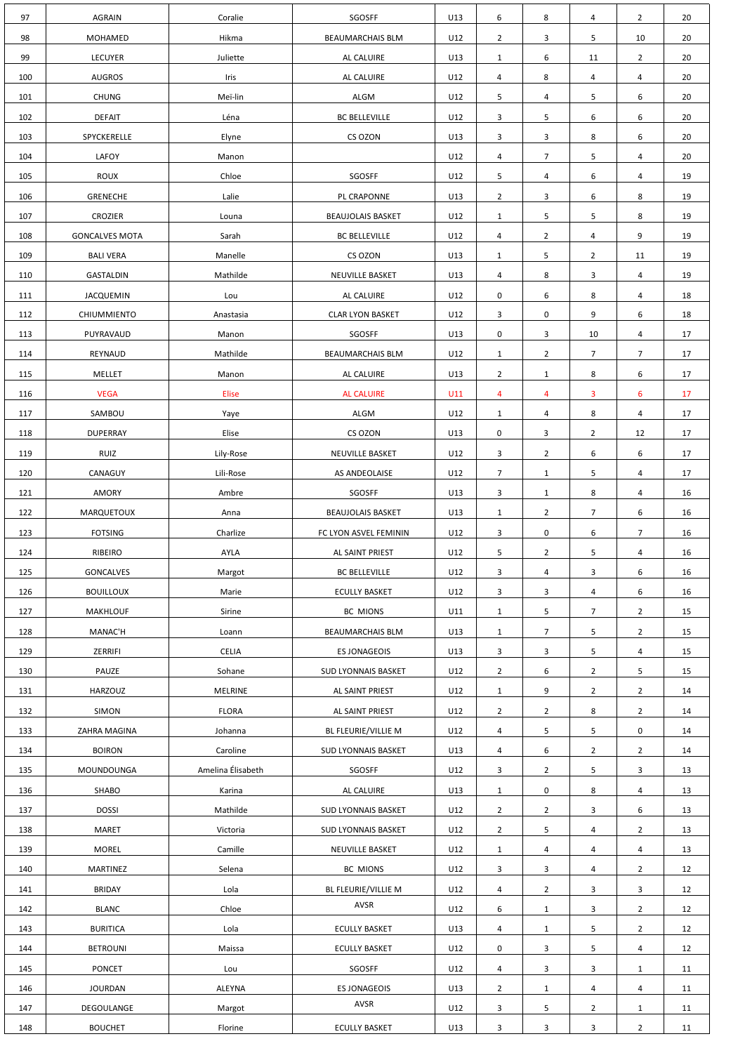| 97  | <b>AGRAIN</b>         | Coralie           | SGOSFF                     | U13 | 6              | 8              | $\overline{4}$ | $2^{\circ}$    | 20 |
|-----|-----------------------|-------------------|----------------------------|-----|----------------|----------------|----------------|----------------|----|
| 98  | MOHAMED               | Hikma             | <b>BEAUMARCHAIS BLM</b>    | U12 | $\overline{2}$ | 3              | 5              | 10             | 20 |
| 99  | <b>LECUYER</b>        | Juliette          | AL CALUIRE                 | U13 | $\mathbf{1}$   | 6              | 11             | $\overline{2}$ | 20 |
| 100 | <b>AUGROS</b>         | Iris              | AL CALUIRE                 | U12 | 4              | 8              | 4              | 4              | 20 |
| 101 | <b>CHUNG</b>          | Meï-lin           | ALGM                       | U12 | 5              | 4              | 5              | 6              | 20 |
| 102 | <b>DEFAIT</b>         | Léna              | <b>BC BELLEVILLE</b>       | U12 | $\mathbf{3}$   | 5              | 6              | 6              | 20 |
| 103 | SPYCKERELLE           | Elyne             | CS OZON                    | U13 | $\mathbf{3}$   | 3              | 8              | 6              | 20 |
| 104 | LAFOY                 | Manon             |                            | U12 | 4              | $\overline{7}$ | 5              | 4              | 20 |
| 105 | <b>ROUX</b>           | Chloe             | SGOSFF                     | U12 | 5              | 4              | 6              | 4              | 19 |
| 106 | <b>GRENECHE</b>       | Lalie             | PL CRAPONNE                | U13 | $\overline{2}$ | 3              | 6              | 8              | 19 |
| 107 | <b>CROZIER</b>        | Louna             | <b>BEAUJOLAIS BASKET</b>   | U12 | $\mathbf{1}$   | 5              | 5              | 8              | 19 |
| 108 | <b>GONCALVES MOTA</b> | Sarah             | <b>BC BELLEVILLE</b>       | U12 | 4              | $\overline{2}$ | 4              | 9              | 19 |
| 109 | <b>BALI VERA</b>      | Manelle           | CS OZON                    | U13 | $\mathbf{1}$   | 5              | $\overline{2}$ | 11             | 19 |
| 110 | GASTALDIN             | Mathilde          | NEUVILLE BASKET            | U13 | $\overline{4}$ | 8              | 3              | 4              | 19 |
| 111 | <b>JACQUEMIN</b>      | Lou               | AL CALUIRE                 | U12 | 0              | 6              | 8              | 4              | 18 |
| 112 | CHIUMMIENTO           | Anastasia         | <b>CLAR LYON BASKET</b>    | U12 | 3              | 0              | 9              | 6              | 18 |
| 113 | PUYRAVAUD             | Manon             | SGOSFF                     | U13 | 0              | 3              | 10             | 4              | 17 |
| 114 | REYNAUD               | Mathilde          | <b>BEAUMARCHAIS BLM</b>    | U12 | $\mathbf{1}$   | $\overline{2}$ | $\overline{7}$ | $\overline{7}$ | 17 |
| 115 | <b>MELLET</b>         | Manon             | AL CALUIRE                 | U13 | $\overline{2}$ | $\mathbf{1}$   | 8              | 6              | 17 |
| 116 | <b>VEGA</b>           | Elise             | <b>AL CALUIRE</b>          | U11 | $\overline{4}$ | 4              | $\overline{3}$ | 6              | 17 |
| 117 | SAMBOU                | Yaye              | ALGM                       | U12 | $\mathbf{1}$   | 4              | 8              | 4              | 17 |
| 118 | <b>DUPERRAY</b>       | Elise             | CS OZON                    | U13 | $\mathbf 0$    | $\mathbf{3}$   | $2^{\circ}$    | 12             | 17 |
| 119 | <b>RUIZ</b>           | Lily-Rose         | NEUVILLE BASKET            | U12 | $\mathbf{3}$   | $2^{\circ}$    | 6              | 6              | 17 |
| 120 | CANAGUY               | Lili-Rose         | AS ANDEOLAISE              | U12 | $\overline{7}$ | $\mathbf{1}$   | 5              | 4              | 17 |
| 121 | AMORY                 | Ambre             | SGOSFF                     | U13 | $\mathbf{3}$   | $\mathbf{1}$   | $\bf 8$        | 4              | 16 |
| 122 | MARQUETOUX            | Anna              | <b>BEAUJOLAIS BASKET</b>   | U13 | $\mathbf{1}$   | $2^{\circ}$    | 7 <sup>7</sup> | 6              | 16 |
| 123 | <b>FOTSING</b>        | Charlize          | FC LYON ASVEL FEMININ      | U12 | $\mathbf{3}$   | 0              | 6              | $\overline{7}$ | 16 |
| 124 | RIBEIRO               | AYLA              | AL SAINT PRIEST            | U12 | 5              | $\overline{2}$ | 5              | 4              | 16 |
| 125 | GONCALVES             | Margot            | <b>BC BELLEVILLE</b>       | U12 | $\mathbf{3}$   | 4              | $\mathbf{3}$   | 6              | 16 |
| 126 | <b>BOUILLOUX</b>      | Marie             | <b>ECULLY BASKET</b>       | U12 | $\mathbf{3}$   | 3              | $\overline{a}$ | 6              | 16 |
| 127 | <b>MAKHLOUF</b>       | Sirine            | BC MIONS                   | U11 | $\mathbf{1}$   | 5              | $\overline{7}$ | $\overline{2}$ | 15 |
| 128 | MANAC'H               | Loann             | <b>BEAUMARCHAIS BLM</b>    | U13 | $\mathbf{1}$   | $\overline{7}$ | 5              | $\overline{2}$ | 15 |
| 129 | ZERRIFI               | <b>CELIA</b>      | <b>ES JONAGEOIS</b>        | U13 | 3              | 3              | 5              | 4              | 15 |
| 130 | PAUZE                 | Sohane            | SUD LYONNAIS BASKET        | U12 | $2^{\circ}$    | 6              | $\overline{2}$ | 5 <sub>1</sub> | 15 |
| 131 | HARZOUZ               | MELRINE           | AL SAINT PRIEST            | U12 | $\mathbf{1}$   | 9              | $\overline{2}$ | $2^{\circ}$    | 14 |
| 132 | SIMON                 | <b>FLORA</b>      | AL SAINT PRIEST            | U12 | $2^{\circ}$    | $\overline{2}$ | 8              | $2^{\circ}$    | 14 |
| 133 | ZAHRA MAGINA          | Johanna           | BL FLEURIE/VILLIE M        | U12 | $\overline{a}$ | 5              | 5              | $\mathbf 0$    | 14 |
| 134 | <b>BOIRON</b>         | Caroline          | <b>SUD LYONNAIS BASKET</b> | U13 | $\overline{a}$ | 6              | $2^{\circ}$    | $2^{\circ}$    | 14 |
| 135 | MOUNDOUNGA            | Amelina Élisabeth | SGOSFF                     | U12 | $\mathbf{3}$   | $2^{\circ}$    | 5              | 3              | 13 |
| 136 | SHABO                 | Karina            | AL CALUIRE                 | U13 | $\mathbf{1}$   | $\mathsf{O}$   | 8              | $\overline{4}$ | 13 |
| 137 | <b>DOSSI</b>          | Mathilde          | <b>SUD LYONNAIS BASKET</b> | U12 | $\overline{2}$ | $\overline{2}$ | $\overline{3}$ | 6              | 13 |
| 138 | <b>MARET</b>          | Victoria          | SUD LYONNAIS BASKET        | U12 | $\overline{2}$ | 5              | 4              | $\overline{2}$ | 13 |
| 139 | <b>MOREL</b>          | Camille           | NEUVILLE BASKET            | U12 | $\mathbf{1}$   | 4              | $\overline{a}$ | 4              | 13 |
| 140 | MARTINEZ              | Selena            | BC MIONS                   | U12 | $\mathbf{3}$   | 3              | $\overline{a}$ | $\overline{2}$ | 12 |
| 141 | <b>BRIDAY</b>         | Lola              | BL FLEURIE/VILLIE M        | U12 | $\overline{a}$ | $\overline{2}$ | $\mathbf{3}$   | $\mathbf{3}$   | 12 |
| 142 | <b>BLANC</b>          | Chloe             | AVSR                       | U12 | 6              | $\mathbf{1}$   | 3              | $\overline{2}$ | 12 |
| 143 | <b>BURITICA</b>       | Lola              | <b>ECULLY BASKET</b>       | U13 | $\overline{4}$ | $\mathbf{1}$   | 5              | $\overline{2}$ | 12 |
| 144 | <b>BETROUNI</b>       | Maissa            | <b>ECULLY BASKET</b>       | U12 | 0              | 3              | 5              | 4              | 12 |
| 145 | <b>PONCET</b>         | Lou               | SGOSFF                     | U12 | 4              | 3              | $\mathbf{3}$   | $\mathbf{1}$   | 11 |
| 146 | <b>JOURDAN</b>        | ALEYNA            | ES JONAGEOIS               | U13 | $2^{\circ}$    | $\mathbf{1}$   | $\overline{a}$ | 4              | 11 |
| 147 | DEGOULANGE            | Margot            | AVSR                       | U12 | $\mathbf{3}$   | 5              | $\overline{2}$ | $\mathbf{1}$   | 11 |
| 148 | <b>BOUCHET</b>        | Florine           | <b>ECULLY BASKET</b>       | U13 | 3              | 3              | $\mathbf{3}$   | $\overline{2}$ | 11 |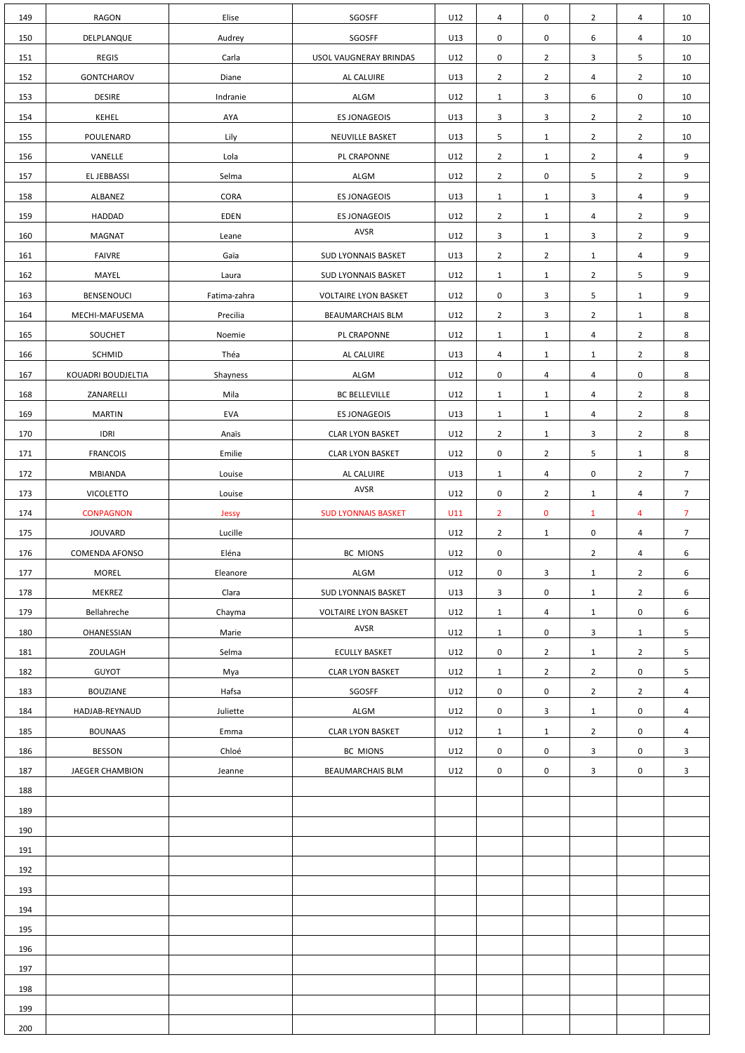| 149 | <b>RAGON</b>           | Elise        | SGOSFF                      | U12 | $\overline{4}$      | 0              | $\overline{2}$ | 4              | 10              |
|-----|------------------------|--------------|-----------------------------|-----|---------------------|----------------|----------------|----------------|-----------------|
| 150 | DELPLANQUE             | Audrey       | SGOSFF                      | U13 | $\mathbf 0$         | 0              | 6              | $\overline{4}$ | 10 <sup>°</sup> |
| 151 | <b>REGIS</b>           | Carla        | USOL VAUGNERAY BRINDAS      | U12 | $\mathbf 0$         | 2 <sup>1</sup> | $\mathbf{3}$   | 5 <sub>1</sub> | 10 <sup>°</sup> |
| 152 | <b>GONTCHAROV</b>      | Diane        | AL CALUIRE                  | U13 | $\overline{2}$      | $\overline{2}$ | 4              | $\overline{2}$ | 10              |
| 153 | <b>DESIRE</b>          | Indranie     | <b>ALGM</b>                 | U12 | $\mathbf{1}$        | 3              | 6              | $\mathbf 0$    | 10              |
| 154 | <b>KEHEL</b>           | AYA          | <b>ES JONAGEOIS</b>         | U13 | $\mathbf{3}$        | 3              | $\overline{2}$ | $\overline{2}$ | 10              |
| 155 | POULENARD              | Lily         | NEUVILLE BASKET             | U13 | 5                   | $\mathbf{1}$   | $\overline{2}$ | $\overline{2}$ | 10              |
| 156 | VANELLE                | Lola         | PL CRAPONNE                 | U12 | $\overline{2}$      | $\mathbf{1}$   | $\overline{2}$ | $\overline{4}$ | 9               |
| 157 | EL JEBBASSI            | Selma        | <b>ALGM</b>                 | U12 | $2^{\circ}$         | 0              | 5              | $2^{\circ}$    | 9               |
| 158 | ALBANEZ                | <b>CORA</b>  | <b>ES JONAGEOIS</b>         | U13 | $\mathbf{1}$        | $\mathbf{1}$   | 3              | $\overline{4}$ | 9               |
| 159 | HADDAD                 | <b>EDEN</b>  | <b>ES JONAGEOIS</b>         | U12 | $\overline{2}$      | $\mathbf{1}$   | 4              | $\overline{2}$ | 9               |
| 160 | MAGNAT                 | Leane        | AVSR                        | U12 | $\mathbf{3}$        | $\mathbf{1}$   | 3              | $\overline{2}$ | 9               |
| 161 | <b>FAIVRE</b>          | Gaïa         | SUD LYONNAIS BASKET         | U13 | $\overline{2}$      | $\overline{2}$ | $\mathbf{1}$   | 4              | 9               |
| 162 | MAYEL                  | Laura        | SUD LYONNAIS BASKET         | U12 | $\mathbf{1}$        | $\mathbf{1}$   | $\overline{2}$ | 5              | 9               |
| 163 | <b>BENSENOUCI</b>      | Fatima-zahra | <b>VOLTAIRE LYON BASKET</b> | U12 | 0                   | 3              | 5              | $\mathbf{1}$   | 9               |
| 164 | MECHI-MAFUSEMA         | Precilia     | <b>BEAUMARCHAIS BLM</b>     | U12 | $\overline{2}$      | 3              | $\overline{2}$ | $\mathbf{1}$   | 8               |
| 165 | <b>SOUCHET</b>         | Noemie       | PL CRAPONNE                 | U12 | $\mathbf{1}$        | $\mathbf{1}$   | 4              | $\overline{2}$ | 8               |
| 166 | <b>SCHMID</b>          | Théa         | AL CALUIRE                  | U13 | 4                   | $\mathbf{1}$   | $\mathbf{1}$   | $\overline{2}$ | 8               |
| 167 | KOUADRI BOUDJELTIA     | Shayness     | ALGM                        | U12 | $\mathsf{O}$        | $\overline{4}$ | $\overline{4}$ | $\mathbf 0$    | 8               |
| 168 | ZANARELLI              | Mila         | <b>BC BELLEVILLE</b>        | U12 |                     |                | $\overline{4}$ | $2^{\circ}$    | 8               |
|     |                        |              |                             |     | $\mathbf{1}$        | $\mathbf{1}$   |                |                |                 |
| 169 | <b>MARTIN</b>          | <b>EVA</b>   | <b>ES JONAGEOIS</b>         | U13 | $\mathbf{1}$        | $\mathbf{1}$   | $\overline{4}$ | $2^{\circ}$    | 8               |
| 170 | <b>IDRI</b>            | Anaïs        | <b>CLAR LYON BASKET</b>     | U12 | $\overline{2}$      | $\mathbf{1}$   | $\overline{3}$ | $\overline{2}$ | 8               |
| 171 | <b>FRANCOIS</b>        | Emilie       | <b>CLAR LYON BASKET</b>     | U12 | $\mathbf 0$         | $\overline{2}$ | 5              | $\mathbf{1}$   | 8               |
| 172 | <b>MBIANDA</b>         | Louise       | AL CALUIRE<br>AVSR          | U13 | $\mathbf{1}$        | 4              | $\mathbf 0$    | $\overline{2}$ | $7\overline{ }$ |
| 173 | <b>VICOLETTO</b>       | Louise       |                             | U12 | $\mathsf{O}\xspace$ | $\overline{2}$ | $\mathbf{1}$   | $\overline{4}$ | 7 <sup>7</sup>  |
| 174 | <b>CONPAGNON</b>       | Jessy        | <b>SUD LYONNAIS BASKET</b>  | U11 | $\overline{2}$      | $\mathbf 0$    | $\mathbf{1}$   | 4              | $\overline{7}$  |
| 175 | <b>JOUVARD</b>         | Lucille      |                             | U12 | $\overline{2}$      | $\mathbf{1}$   | $\mathbf 0$    | 4              | $\overline{7}$  |
| 176 | COMENDA AFONSO         | Eléna        | BC MIONS                    | U12 | 0                   |                | $\overline{2}$ | 4              | 6               |
| 177 | <b>MOREL</b>           | Eleanore     | <b>ALGM</b>                 | U12 | 0                   | 3              | $\mathbf{1}$   | $\overline{2}$ | 6               |
| 178 | MEKREZ                 | Clara        | SUD LYONNAIS BASKET         | U13 | $\mathbf{3}$        | 0              | $\mathbf{1}$   | $\overline{2}$ | 6               |
| 179 | Bellahreche            | Chayma       | <b>VOLTAIRE LYON BASKET</b> | U12 | $\mathbf{1}$        | 4              | $\mathbf{1}$   | $\mathbf 0$    | 6               |
| 180 | <b>OHANESSIAN</b>      | Marie        | AVSR                        | U12 | $\mathbf{1}$        | 0              | $\mathbf{3}$   | $\mathbf{1}$   | 5               |
| 181 | ZOULAGH                | Selma        | <b>ECULLY BASKET</b>        | U12 | $\mathbf 0$         | $\overline{2}$ | $\mathbf{1}$   | $\overline{2}$ | 5 <sub>1</sub>  |
| 182 | <b>GUYOT</b>           | Mya          | <b>CLAR LYON BASKET</b>     | U12 | $\mathbf{1}$        | $\overline{2}$ | $\overline{2}$ | $\mathbf 0$    | 5               |
| 183 | <b>BOUZIANE</b>        | Hafsa        | SGOSFF                      | U12 | $\mathbf 0$         | 0              | $\overline{2}$ | $\overline{2}$ | 4               |
| 184 | HADJAB-REYNAUD         | Juliette     | <b>ALGM</b>                 | U12 | $\mathbf 0$         | 3              | $\mathbf{1}$   | $\mathbf 0$    | 4               |
| 185 | <b>BOUNAAS</b>         | Emma         | <b>CLAR LYON BASKET</b>     | U12 | $\mathbf{1}$        | $\mathbf{1}$   | $\overline{2}$ | $\mathbf 0$    | 4               |
| 186 | <b>BESSON</b>          | Chloé        | <b>BC MIONS</b>             | U12 | $\mathsf 0$         | 0              | $\mathbf{3}$   | $\mathbf 0$    | $\mathbf{3}$    |
| 187 | <b>JAEGER CHAMBION</b> | Jeanne       | <b>BEAUMARCHAIS BLM</b>     | U12 | $\pmb{0}$           | 0              | 3              | $\mathbf 0$    | 3               |
| 188 |                        |              |                             |     |                     |                |                |                |                 |
| 189 |                        |              |                             |     |                     |                |                |                |                 |
| 190 |                        |              |                             |     |                     |                |                |                |                 |
| 191 |                        |              |                             |     |                     |                |                |                |                 |
| 192 |                        |              |                             |     |                     |                |                |                |                 |
| 193 |                        |              |                             |     |                     |                |                |                |                 |
| 194 |                        |              |                             |     |                     |                |                |                |                 |
| 195 |                        |              |                             |     |                     |                |                |                |                 |
| 196 |                        |              |                             |     |                     |                |                |                |                 |
| 197 |                        |              |                             |     |                     |                |                |                |                 |
| 198 |                        |              |                             |     |                     |                |                |                |                 |
| 199 |                        |              |                             |     |                     |                |                |                |                 |
| 200 |                        |              |                             |     |                     |                |                |                |                 |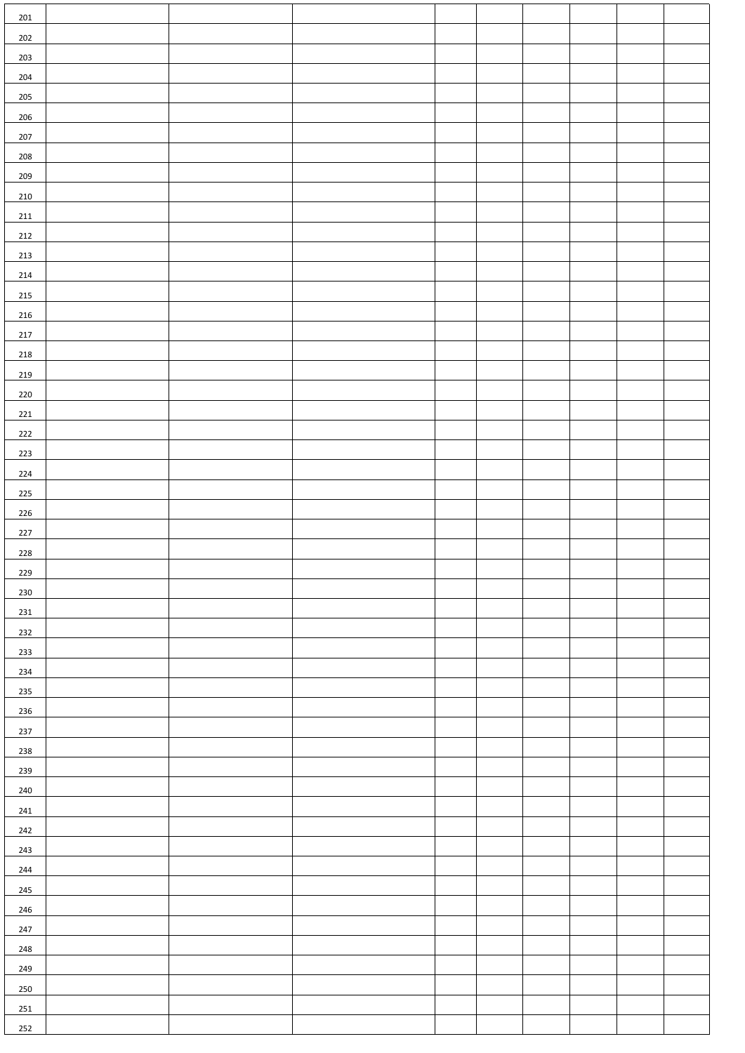| 201        |  |  |  |  |  |
|------------|--|--|--|--|--|
| 202        |  |  |  |  |  |
| 203        |  |  |  |  |  |
| 204        |  |  |  |  |  |
| 205        |  |  |  |  |  |
| 206        |  |  |  |  |  |
| 207        |  |  |  |  |  |
| 208        |  |  |  |  |  |
| 209        |  |  |  |  |  |
| 210        |  |  |  |  |  |
| 211        |  |  |  |  |  |
| 212        |  |  |  |  |  |
| 213        |  |  |  |  |  |
| 214        |  |  |  |  |  |
| 215        |  |  |  |  |  |
| 216        |  |  |  |  |  |
| 217        |  |  |  |  |  |
| 218        |  |  |  |  |  |
| 219        |  |  |  |  |  |
| 220        |  |  |  |  |  |
| 221        |  |  |  |  |  |
| 222        |  |  |  |  |  |
| 223<br>224 |  |  |  |  |  |
| 225        |  |  |  |  |  |
| 226        |  |  |  |  |  |
| 227        |  |  |  |  |  |
| 228        |  |  |  |  |  |
| 229        |  |  |  |  |  |
| 230        |  |  |  |  |  |
| 231        |  |  |  |  |  |
| 232        |  |  |  |  |  |
| 233        |  |  |  |  |  |
| 234        |  |  |  |  |  |
| 235        |  |  |  |  |  |
| 236        |  |  |  |  |  |
| 237        |  |  |  |  |  |
| 238        |  |  |  |  |  |
| 239        |  |  |  |  |  |
| 240        |  |  |  |  |  |
| 241        |  |  |  |  |  |
| 242        |  |  |  |  |  |
| 243        |  |  |  |  |  |
| 244        |  |  |  |  |  |
| 245        |  |  |  |  |  |
| 246        |  |  |  |  |  |
| 247        |  |  |  |  |  |
| 248        |  |  |  |  |  |
| 249        |  |  |  |  |  |
| 250<br>251 |  |  |  |  |  |
| 252        |  |  |  |  |  |
|            |  |  |  |  |  |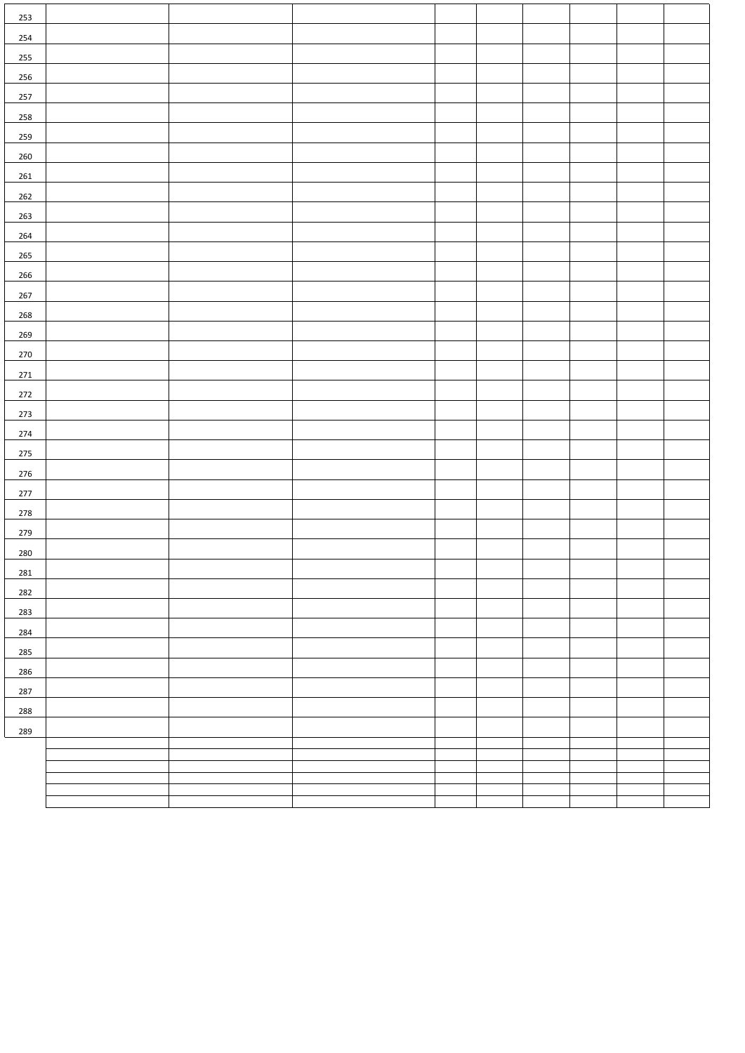| 253     |  |  |  |  |  |
|---------|--|--|--|--|--|
| 254     |  |  |  |  |  |
| 255     |  |  |  |  |  |
| 256     |  |  |  |  |  |
| 257     |  |  |  |  |  |
| 258     |  |  |  |  |  |
| 259     |  |  |  |  |  |
| 260     |  |  |  |  |  |
| 261     |  |  |  |  |  |
| 262     |  |  |  |  |  |
| 263     |  |  |  |  |  |
| 264     |  |  |  |  |  |
| 265     |  |  |  |  |  |
| 266     |  |  |  |  |  |
| 267     |  |  |  |  |  |
| 268     |  |  |  |  |  |
| 269     |  |  |  |  |  |
| 270     |  |  |  |  |  |
| 271     |  |  |  |  |  |
| $272\,$ |  |  |  |  |  |
| 273     |  |  |  |  |  |
| 274     |  |  |  |  |  |
| 275     |  |  |  |  |  |
| 276     |  |  |  |  |  |
| 277     |  |  |  |  |  |
| 278     |  |  |  |  |  |
| 279     |  |  |  |  |  |
| 280     |  |  |  |  |  |
| 281     |  |  |  |  |  |
| 282     |  |  |  |  |  |
| 283     |  |  |  |  |  |
| 284     |  |  |  |  |  |
| 285     |  |  |  |  |  |
| 286     |  |  |  |  |  |
| 287     |  |  |  |  |  |
| 288     |  |  |  |  |  |
| 289     |  |  |  |  |  |
|         |  |  |  |  |  |
|         |  |  |  |  |  |
|         |  |  |  |  |  |